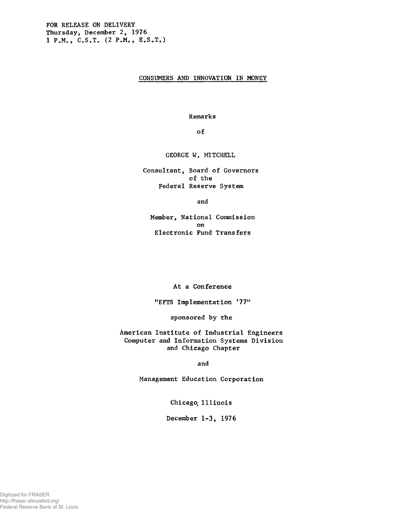## CONSUMERS AND INNOVATION IN MONEY

Remarks

of

GEORGE W. MITCHELL

Consultant, Board of Governors of the Federal Reserve System

and

Member, National Commission on Electronic Fund Transfers

At a Conference

"EFTS Implementation '77"

sponsored by the

American Institute of Industrial Engineers Computer and Information Systems Division and Chicago Chapter

and

Management Education Corporation

Chicago, Illinois

December 1-3, 1976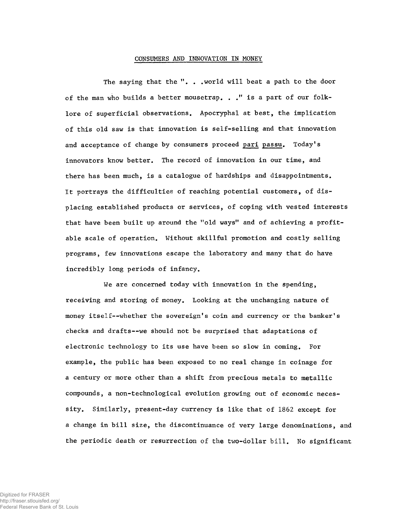## CONSUMERS AND INNOVATION IN MONEY

The saying that the ". . .world will beat a path to the door of the man who builds a better mousetrap. . ." is a part of our folklore of superficial observations. Apocryphal at best, the implication of this old saw is that innovation is self-selling and that innovation and acceptance of change by consumers proceed pari passu. Today's innovators know better. The record of innovation in our time, and there has been much, is a catalogue of hardships and disappointments. It portrays the difficulties of reaching potential customers, of displacing established products or services, of coping with vested interests that have been built up around the "old ways" and of achieving a profitable scale of operation. Without skillful promotion and costly selling programs, few innovations escape the laboratory and many that do have incredibly long periods of infancy.

We are concerned today with innovation in the spending, receiving and storing of money. Looking at the unchanging nature of money itself--whether the sovereign's coin and currency or the banker's checks and drafts— we should not be surprised that adaptations of electronic technology to its use have been so slow in coming. For example, the public has been exposed to no real change in coinage for a century or more other than a shift from precious metals to metallic compounds, a non-technological evolution growing out of economic necessity. Similarly, present-day currency is like that of 1862 except for a change in bill size, the discontinuance of very large denominations, and the periodic death or resurrection of the two-dollar bill. No significant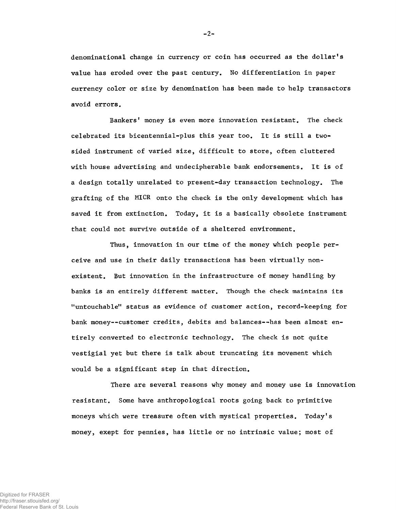denominational change in currency or coin has occurred as the dollar's value has eroded over the past century. No differentiation in paper currency color or size by denomination has been made to help transactors avoid errors.

Bankers' money is even more innovation resistant. The check celebrated its bicentennial-plus this year too. It is still a twosided instrument of varied size, difficult to store, often cluttered with house advertising and undecipherable bank endorsements. It is of a design totally unrelated to present-day transaction technology. The grafting of the MICR onto the check is the only development which has saved it from extinction. Today, it is a basically obsolete instrument that could not survive outside of a sheltered environment.

Thus, innovation in our time of the money which people perceive and use in their daily transactions has been virtually nonexistent. But innovation in the infrastructure of money handling by banks is an entirely different matter. Though the check maintains its "untouchable" status as evidence of customer action, record-keeping for bank money— customer credits, debits and balances--has been almost entirely converted to electronic technology. The check is not quite vestigial yet but there is talk about truncating its movement which would be a significant step in that direction.

There are several reasons why money and money use is innovation resistant. Some have anthropological roots going back to primitive moneys which were treasure often with mystical properties. Today's money, exept for pennies, has little or no intrinsic value; most of

 $-2-$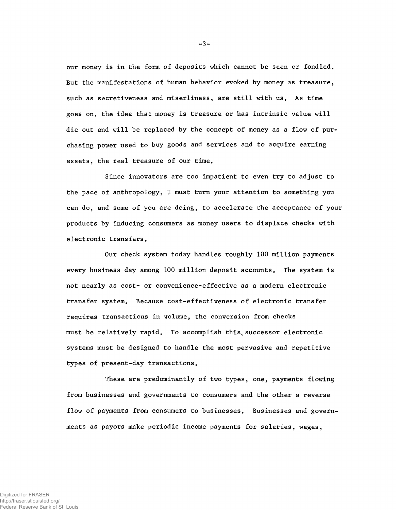our money is in the form of deposits which cannot be seen or fondled. But the manifestations of human behavior evoked by money as treasure, such as secretiveness and miserliness, are still with us. As time goes on, the idea that money is treasure or has intrinsic value will die out and will be replaced by the concept of money as a flow of purchasing power used to buy goods and services and to acquire earning assets, the real treasure of our time.

Since innovators are too impatient to even try to adjust to the pace of anthropology, I must turn your attention to something you can do, and some of you are doing, to accelerate the acceptance of your products by inducing consumers as money users to displace checks with electronic transfers.

Our check system today handles roughly 100 million payments every business day among 100 million deposit accounts. The system is not nearly as cost- or convenience-effective as a modern electronic transfer system. Because cost-effectiveness of electronic transfer requires transactions in volume, the conversion from checks must be relatively rapid. To accomplish this, successor electronic systems must be designed to handle the most pervasive and repetitive types of present-day transactions.

These are predominantly of two types, one, payments flowing from businesses and governments to consumers and the other a reverse flow of payments from consumers to businesses. Businesses and governments as payors make periodic income payments for salaries, wages,

 $-3-$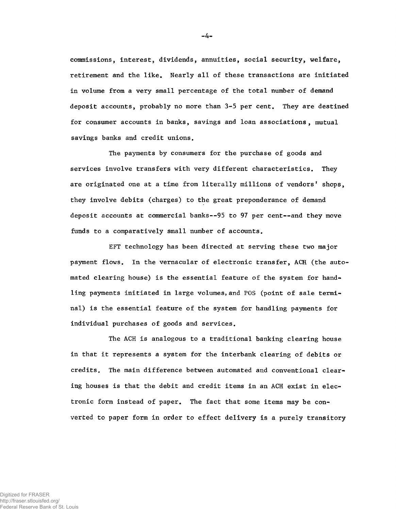commissions, interest, dividends, annuities, social security, welfare, retirement and the like. Nearly all of these transactions are initiated in volume from a very small percentage of the total number of demand deposit accounts, probably no more than 3-5 per cent. They are destined for consumer accounts in banks, savings and loan associations, mutual savings banks and credit unions.

The payments by consumers for the purchase of goods and services involve transfers with very different characteristics. They are originated one at a time from literally millions of vendors' shops, they involve debits (charges) to the great preponderance of demand deposit accounts at commercial banks— 95 to 97 per cent--and they move funds to a comparatively small number of accounts.

EFT technology has been directed at serving these two major payment flows. In the vernacular of electronic transfer, ACR (the automated clearing house) is the essential feature of the system for handling payments initiated in large volumes, and POS (point of sale terminal) is the essential feature of the system for handling payments for individual purchases of goods and services.

The ACH is analogous to a traditional banking clearing house in that it represents a system for the interbank clearing of debits or credits. The main difference between automated and conventional clearing houses is that the debit and credit items in an ACH exist in electronic form instead of paper. The fact that some items may be converted to paper form in order to effect delivery is a purely transitory

 $-4-$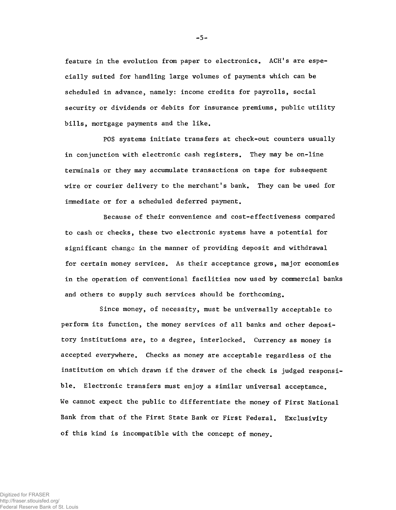feature in the evolution from paper to electronics. ACH's are especially suited for handling large volumes of payments which can be scheduled in advance, namely: income credits for payrolls, social security or dividends or debits for insurance premiums, public utility bills, mortgage payments and the like.

POS systems initiate transfers at check-out counters usually in conjunction with electronic cash registers. They may be on-line terminals or they may accumulate transactions on tape for subsequent wire or courier delivery to the merchant's bank. They can be used for immediate or for a scheduled deferred payment.

Because of their convenience and cost-effectiveness compared to cash or checks, these two electronic systems have a potential for significant change in the manner of providing deposit and withdrawal for certain money services. As their acceptance grows, major economies in the operation of conventional facilities now used by commercial banks and others to supply such services should be forthcoming.

Since money, of necessity, must be universally acceptable to perform its function, the money services of all banks and other depository institutions are, to a degree, interlocked. Currency as money is accepted everywhere. Checks as money are acceptable regardless of the institution on which drawn if the drawer of the check is judged responsible. Electronic transfers must enjoy a similar universal acceptance. We cannot expect the public to differentiate the money of First National Bank from that of the First State Bank or First Federal. Exclusivity of this kind is incompatible with the concept of money.

-5-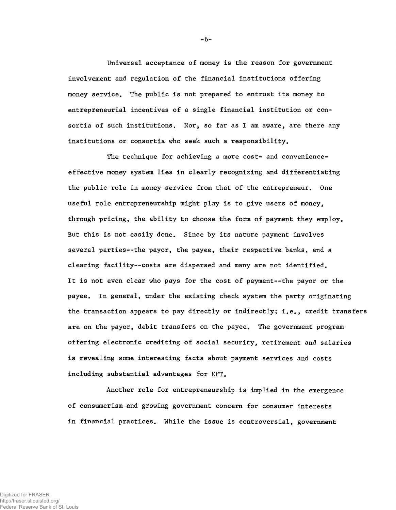Universai acceptance of money is the reason for government involvement and regulation of the financial institutions offering money service. The public is not prepared to entrust its money to entrepreneurial incentives of a single financial institution or consortia of such institutions. Nor, so far as I am aware, are there any institutions or consortia who seek such a responsibility.

The technique for achieving a more cost- and convenienceeffective money system lies in clearly recognizing and differentiating the public role in money service from that of the entrepreneur. One useful role entrepreneurship might play is to give users of money, through pricing, the ability to choose the form of payment they employ. But this is not easily done. Since by its nature payment involves several parties--the payor, the payee, their respective banks, and a clearing facility--costs are dispersed and many are not identified. It is not even clear who pays for the cost of payment— the payor or the payee. In general, under the existing check system the party originating the transaction appears to pay directly or indirectly; i.e., credit transfers are on the payor, debit transfers on the payee. The government program offering electronic crediting of social security, retirement and salaries is revealing some interesting facts about payment services and costs including substantial advantages for EFT.

Another role for entrepreneurship is implied in the emergence of consumerism and growing government concern for consumer interests in financial practices. While the issue is controversial, government

-6-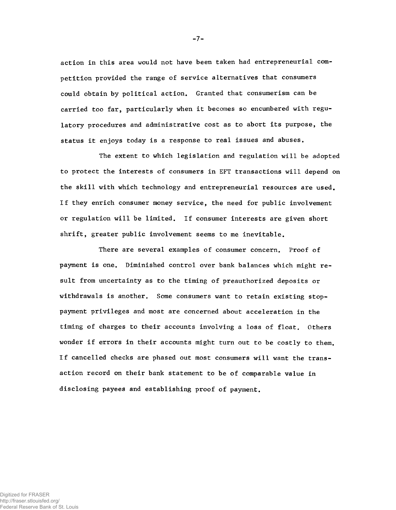action in this area would not have been taken had entrepreneurial competition provided the range of service alternatives that consumers could obtain by political action. Granted that consumerism can be carried too far, particularly when it becomes so encumbered with regulatory procedures and administrative cost as to abort its purpose, the status it enjoys today is a response to real issues and abuses.

The extent to which legislation and regulation will be adopted to protect the interests of consumers in EFT transactions will depend on the skill with which technology and entrepreneurial resources are used. If they enrich consumer money service, the need for public involvement or regulation will be limited. If consumer interests are given short shrift, greater public involvement seems to me inevitable.

There are several examples of consumer concern. Proof of payment is one. Diminished control over bank balances which might result from uncertainty as to the timing of preauthorized deposits or withdrawals is another. Some consumers want to retain existing stoppayment privileges and most are concerned about acceleration in the timing of charges to their accounts involving a loss of float. Others wonder if errors in their accounts might turn out to be costly to them. If cancelled checks are phased out most consumers will want the transaction record on their bank statement to be of comparable value in disclosing payees and establishing proof of payment.

-7-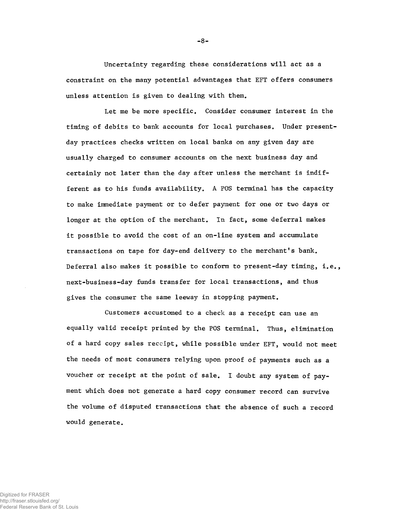Uncertainty regarding these considerations will act as a constraint on the many potential advantages that EFT offers consumers unless attention is given to dealing with them.

Let me be more specific. Consider consumer interest in the timing of debits to bank accounts for local purchases. Under presentday practices checks written on local banks on any given day are usually charged to consumer accounts on the next business day and certainly not later than the day after unless the merchant is indifferent as to his funds availability. A POS terminal has the capacity to make immediate payment or to defer payment for one or two days or longer at the option of the merchant. In fact, some deferral makes it possible to avoid the cost of an on-line system and accumulate transactions on tape for day-end delivery to the merchant's bank. Deferral also makes it possible to conform to present-day timing, i.e., next-business-day funds transfer for local transactions, and thus gives the consumer the same leeway in stopping payment.

Customers accustomed to a check as a receipt can use an equally valid receipt printed by the POS terminal. Thus, elimination of a hard copy sales receipt, while possible under EFT, would not meet the needs of most consumers relying upon proof of payments such as a voucher or receipt at the point of sale. I doubt any system of payment which does not generate a hard copy consumer record can survive the volume of disputed transactions that the absence of such a record would generate.

-8-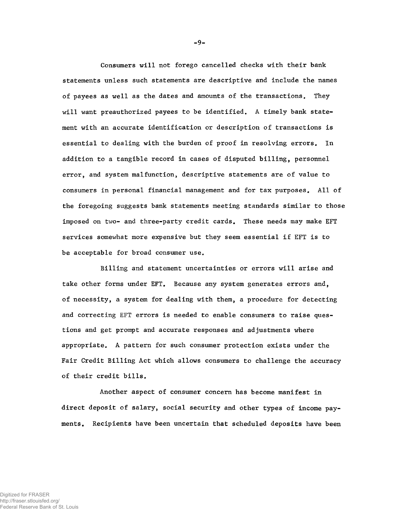Consumers will not forego cancelled checks with their bank statements unless such statements are descriptive and include the names of payees as well as the dates and amounts of the transactions. They will want preauthorized payees to be identified. A timely bank statement with an accurate identification or description of transactions is essential to dealing with the burden of proof in resolving errors. In addition to a tangible record in cases of disputed billing, personnel error, and system malfunction, descriptive statements are of value to consumers in personal financial management and for tax purposes. All of the foregoing suggests bank statements meeting standards similar to those imposed on two- and three-party credit cards. These needs may make EFT services somewhat more expensive but they seem essential if EFT is to be acceptable for broad consumer use.

Billing and statement uncertainties or errors will arise and take other forms under EFT. Because any system generates errors and, of necessity, a system for dealing with them, a procedure for detecting and correcting EFT errors is needed to enable consumers to raise questions and get prompt and accurate responses and adjustments where appropriate. A pattern for such consumer protection exists under the Fair Credit Billing Act which allows consumers to challenge the accuracy of their credit bills.

Another aspect of consumer concern has become manifest in direct deposit of salary, social security and other types of income payments. Recipients have been uncertain that scheduled deposits have been

-9-